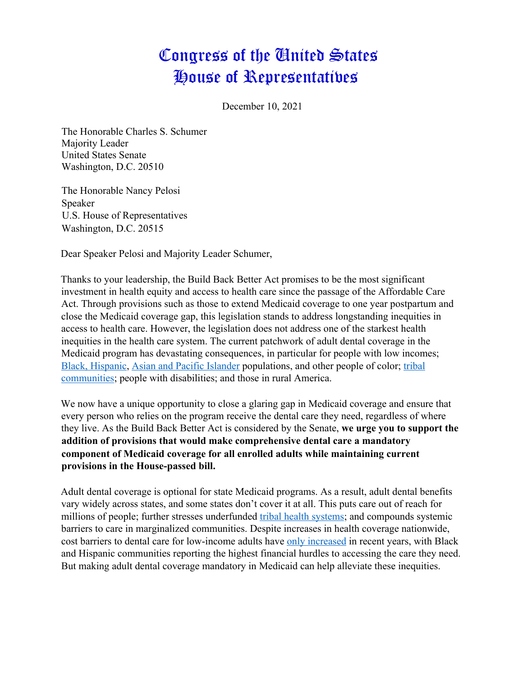## Congress of the United States House of Representatives

December 10, 2021

The Honorable Charles S. Schumer Majority Leader United States Senate Washington, D.C. 20510

The Honorable Nancy Pelosi Speaker U.S. House of Representatives Washington, D.C. 20515

Dear Speaker Pelosi and Majority Leader Schumer,

Thanks to your leadership, the Build Back Better Act promises to be the most significant investment in health equity and access to health care since the passage of the Affordable Care Act. Through provisions such as those to extend Medicaid coverage to one year postpartum and close the Medicaid coverage gap, this legislation stands to address longstanding inequities in access to health care. However, the legislation does not address one of the starkest health inequities in the health care system. The current patchwork of adult dental coverage in the Medicaid program has devastating consequences, in particular for people with low incomes; Black, Hispanic, Asian and Pacific Islander populations, and other people of color; tribal communities; people with disabilities; and those in rural America.

We now have a unique opportunity to close a glaring gap in Medicaid coverage and ensure that every person who relies on the program receive the dental care they need, regardless of where they live. As the Build Back Better Act is considered by the Senate, **we urge you to support the addition of provisions that would make comprehensive dental care a mandatory component of Medicaid coverage for all enrolled adults while maintaining current provisions in the House-passed bill.** 

Adult dental coverage is optional for state Medicaid programs. As a result, adult dental benefits vary widely across states, and some states don't cover it at all. This puts care out of reach for millions of people; further stresses underfunded tribal health systems; and compounds systemic barriers to care in marginalized communities. Despite increases in health coverage nationwide, cost barriers to dental care for low-income adults have only increased in recent years, with Black and Hispanic communities reporting the highest financial hurdles to accessing the care they need. But making adult dental coverage mandatory in Medicaid can help alleviate these inequities.